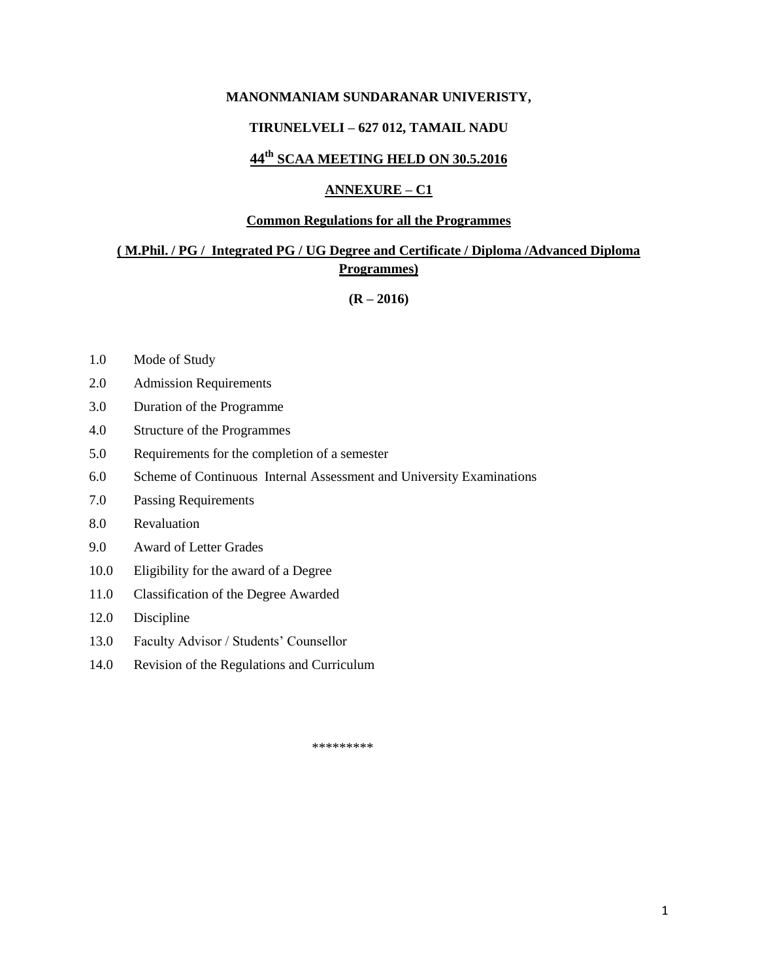#### **MANONMANIAM SUNDARANAR UNIVERISTY,**

#### **TIRUNELVELI – 627 012, TAMAIL NADU**

# **44th SCAA MEETING HELD ON 30.5.2016**

#### **ANNEXURE – C1**

#### **Common Regulations for all the Programmes**

# **( M.Phil. / PG / Integrated PG / UG Degree and Certificate / Diploma /Advanced Diploma Programmes)**

**(R – 2016)**

- 1.0 Mode of Study
- 2.0 Admission Requirements
- 3.0 Duration of the Programme
- 4.0 Structure of the Programmes
- 5.0 Requirements for the completion of a semester
- 6.0 Scheme of Continuous Internal Assessment and University Examinations
- 7.0 Passing Requirements
- 8.0 Revaluation
- 9.0 Award of Letter Grades
- 10.0 Eligibility for the award of a Degree
- 11.0 Classification of the Degree Awarded
- 12.0 Discipline
- 13.0 Faculty Advisor / Students' Counsellor
- 14.0 Revision of the Regulations and Curriculum

\*\*\*\*\*\*\*\*\*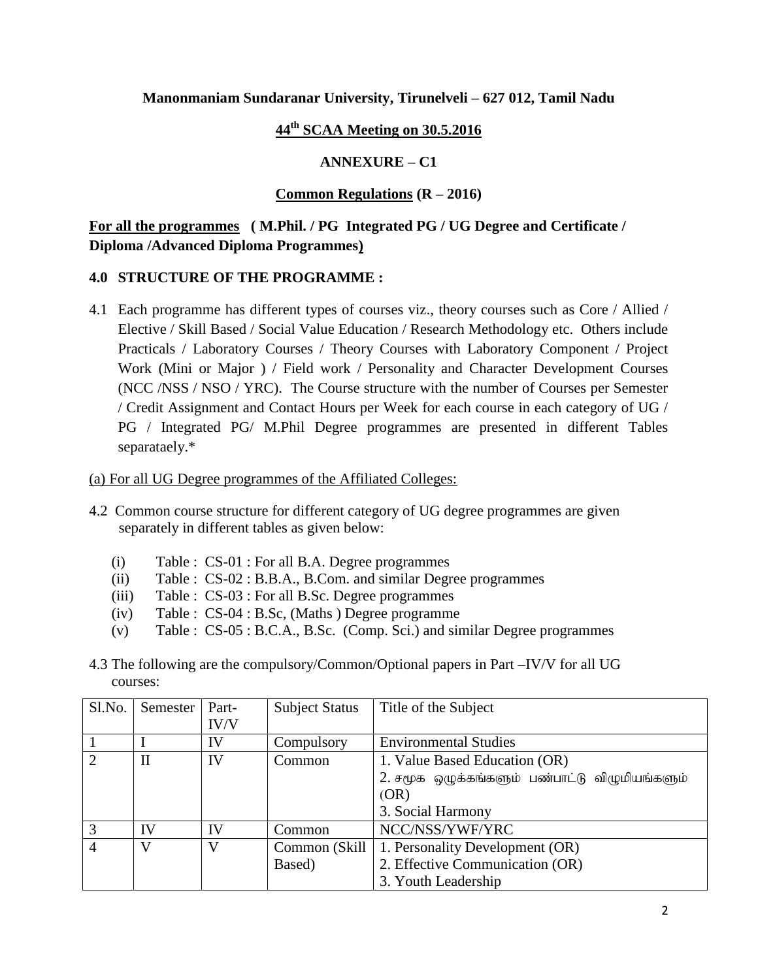# **Manonmaniam Sundaranar University, Tirunelveli – 627 012, Tamil Nadu**

# **44th SCAA Meeting on 30.5.2016**

# **ANNEXURE – C1**

# **Common Regulations (R – 2016)**

# **For all the programmes ( M.Phil. / PG Integrated PG / UG Degree and Certificate / Diploma /Advanced Diploma Programmes)**

# **4.0 STRUCTURE OF THE PROGRAMME :**

4.1 Each programme has different types of courses viz., theory courses such as Core / Allied / Elective / Skill Based / Social Value Education / Research Methodology etc. Others include Practicals / Laboratory Courses / Theory Courses with Laboratory Component / Project Work (Mini or Major ) / Field work / Personality and Character Development Courses (NCC /NSS / NSO / YRC). The Course structure with the number of Courses per Semester / Credit Assignment and Contact Hours per Week for each course in each category of UG / PG / Integrated PG/ M.Phil Degree programmes are presented in different Tables separataely.\*

#### (a) For all UG Degree programmes of the Affiliated Colleges:

- 4.2 Common course structure for different category of UG degree programmes are given separately in different tables as given below:
	- (i) Table : CS-01 : For all B.A. Degree programmes
	- (ii) Table : CS-02 : B.B.A., B.Com. and similar Degree programmes
	- (iii) Table : CS-03 : For all B.Sc. Degree programmes
	- (iv) Table : CS-04 : B.Sc, (Maths ) Degree programme
	- (v) Table : CS-05 : B.C.A., B.Sc. (Comp. Sci.) and similar Degree programmes
- 4.3 The following are the compulsory/Common/Optional papers in Part –IV/V for all UG courses:

| Sl.No.         | Semester    | Part- | <b>Subject Status</b> | Title of the Subject                           |
|----------------|-------------|-------|-----------------------|------------------------------------------------|
|                |             | IV/V  |                       |                                                |
|                |             | IV    | Compulsory            | <b>Environmental Studies</b>                   |
| $\overline{2}$ | $_{\rm II}$ | IV    | Common                | 1. Value Based Education (OR)                  |
|                |             |       |                       | 2. சமூக ஒழுக்கங்களும் பண்பாட்டு விழுமியங்களும் |
|                |             |       |                       | (OR)                                           |
|                |             |       |                       | 3. Social Harmony                              |
| 3              | IV          | IV    | Common                | NCC/NSS/YWF/YRC                                |
| 4              | V           | V     | Common (Skill         | 1. Personality Development (OR)                |
|                |             |       | Based)                | 2. Effective Communication (OR)                |
|                |             |       |                       | 3. Youth Leadership                            |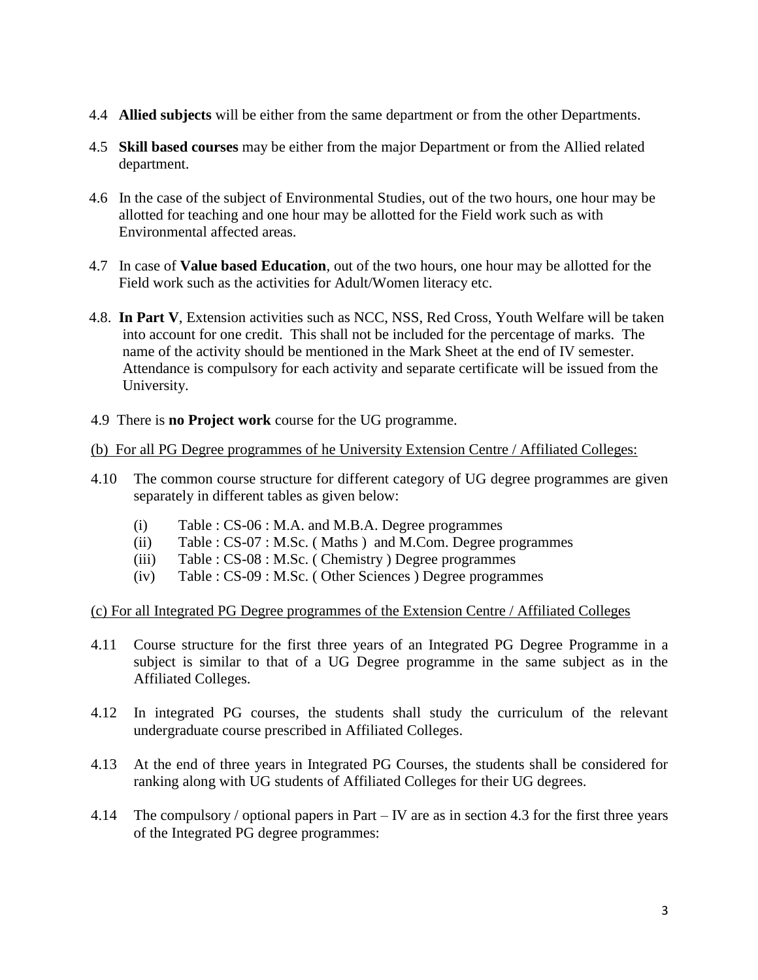- 4.4 **Allied subjects** will be either from the same department or from the other Departments.
- 4.5 **Skill based courses** may be either from the major Department or from the Allied related department.
- 4.6 In the case of the subject of Environmental Studies, out of the two hours, one hour may be allotted for teaching and one hour may be allotted for the Field work such as with Environmental affected areas.
- 4.7 In case of **Value based Education**, out of the two hours, one hour may be allotted for the Field work such as the activities for Adult/Women literacy etc.
- 4.8. **In Part V**, Extension activities such as NCC, NSS, Red Cross, Youth Welfare will be taken into account for one credit. This shall not be included for the percentage of marks. The name of the activity should be mentioned in the Mark Sheet at the end of IV semester. Attendance is compulsory for each activity and separate certificate will be issued from the University.
- 4.9 There is **no Project work** course for the UG programme.

# (b) For all PG Degree programmes of he University Extension Centre / Affiliated Colleges:

- 4.10 The common course structure for different category of UG degree programmes are given separately in different tables as given below:
	- (i) Table : CS-06 : M.A. and M.B.A. Degree programmes
	- (ii) Table : CS-07 : M.Sc. ( Maths ) and M.Com. Degree programmes
	- (iii) Table : CS-08 : M.Sc. ( Chemistry ) Degree programmes
	- (iv) Table : CS-09 : M.Sc. ( Other Sciences ) Degree programmes

# (c) For all Integrated PG Degree programmes of the Extension Centre / Affiliated Colleges

- 4.11 Course structure for the first three years of an Integrated PG Degree Programme in a subject is similar to that of a UG Degree programme in the same subject as in the Affiliated Colleges.
- 4.12 In integrated PG courses, the students shall study the curriculum of the relevant undergraduate course prescribed in Affiliated Colleges.
- 4.13 At the end of three years in Integrated PG Courses, the students shall be considered for ranking along with UG students of Affiliated Colleges for their UG degrees.
- 4.14 The compulsory / optional papers in Part IV are as in section 4.3 for the first three years of the Integrated PG degree programmes: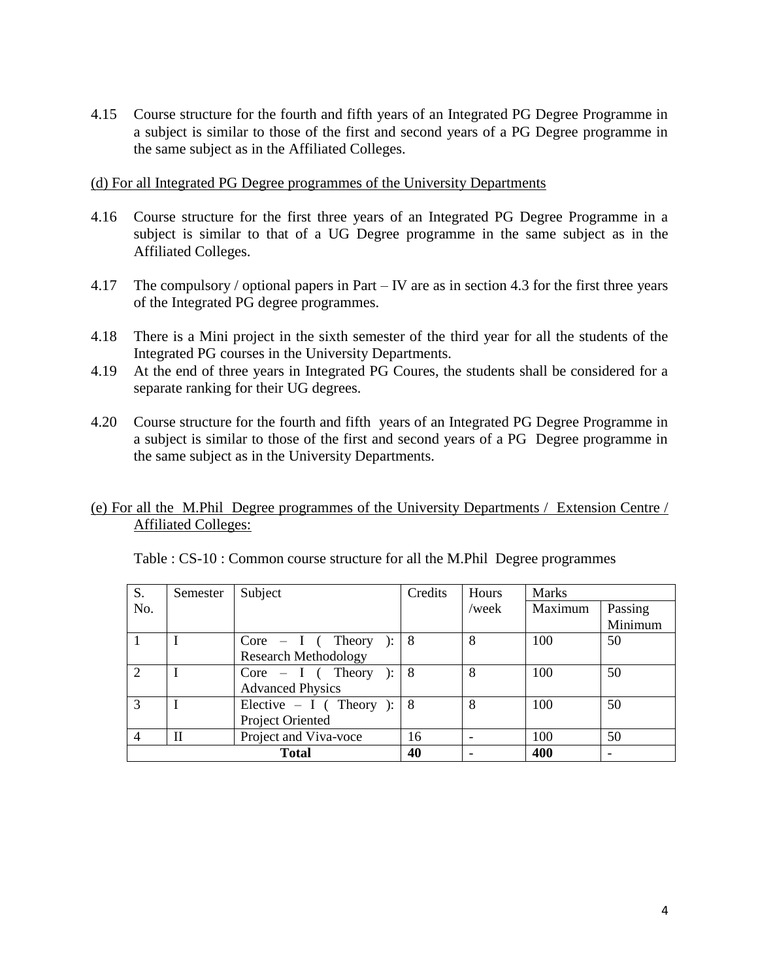4.15 Course structure for the fourth and fifth years of an Integrated PG Degree Programme in a subject is similar to those of the first and second years of a PG Degree programme in the same subject as in the Affiliated Colleges.

### (d) For all Integrated PG Degree programmes of the University Departments

- 4.16 Course structure for the first three years of an Integrated PG Degree Programme in a subject is similar to that of a UG Degree programme in the same subject as in the Affiliated Colleges.
- 4.17 The compulsory / optional papers in Part IV are as in section 4.3 for the first three years of the Integrated PG degree programmes.
- 4.18 There is a Mini project in the sixth semester of the third year for all the students of the Integrated PG courses in the University Departments.
- 4.19 At the end of three years in Integrated PG Coures, the students shall be considered for a separate ranking for their UG degrees.
- 4.20 Course structure for the fourth and fifth years of an Integrated PG Degree Programme in a subject is similar to those of the first and second years of a PG Degree programme in the same subject as in the University Departments.

# (e) For all the M.Phil Degree programmes of the University Departments / Extension Centre / Affiliated Colleges:

| S.             | Semester     | Subject                     | Credits | Hours | <b>Marks</b> |         |
|----------------|--------------|-----------------------------|---------|-------|--------------|---------|
| No.            |              |                             |         | /week | Maximum      | Passing |
|                |              |                             |         |       |              | Minimum |
|                |              | $Core - I$ (Theory          | -8      | 8     | 100          | 50      |
|                |              | <b>Research Methodology</b> |         |       |              |         |
| $\overline{2}$ |              | $Core - I$ (Theory ):       | -8      | 8     | 100          | 50      |
|                |              | <b>Advanced Physics</b>     |         |       |              |         |
| 3              |              | Elective $- I$ (Theory ):   | -8      | 8     | 100          | 50      |
|                |              | Project Oriented            |         |       |              |         |
| $\overline{4}$ | $\mathbf{I}$ | Project and Viva-voce       | 16      |       | 100          | 50      |
|                |              | <b>Total</b>                | 40      |       | 400          |         |

| Table : CS-10 : Common course structure for all the M.Phil Degree programmes |  |  |
|------------------------------------------------------------------------------|--|--|
|                                                                              |  |  |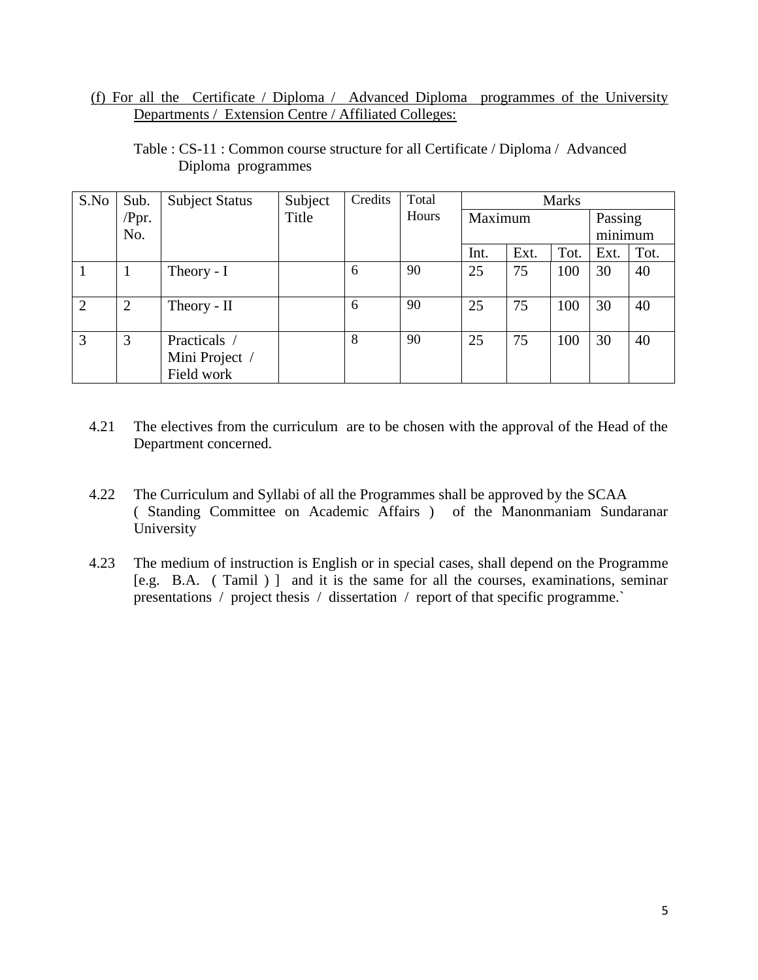(f) For all the Certificate / Diploma / Advanced Diploma programmes of the University Departments / Extension Centre / Affiliated Colleges:

| S.No         | Sub.           | <b>Subject Status</b> | Subject | Credits | Total | <b>Marks</b> |      |      |         |      |
|--------------|----------------|-----------------------|---------|---------|-------|--------------|------|------|---------|------|
|              | $/$ Ppr.       |                       | Title   |         | Hours | Maximum      |      |      | Passing |      |
|              | No.            |                       |         |         |       |              |      |      | minimum |      |
|              |                |                       |         |         |       | Int.         | Ext. | Tot. | Ext.    | Tot. |
| $\mathbf{1}$ | 1              | Theory - I            |         | 6       | 90    | 25           | 75   | 100  | 30      | 40   |
|              |                |                       |         |         |       |              |      |      |         |      |
| 2            | $\overline{2}$ | Theory - II           |         | 6       | 90    | 25           | 75   | 100  | 30      | 40   |
|              |                |                       |         |         |       |              |      |      |         |      |
| 3            | 3              | Practicals /          |         | 8       | 90    | 25           | 75   | 100  | 30      | 40   |
|              |                | Mini Project /        |         |         |       |              |      |      |         |      |
|              |                | Field work            |         |         |       |              |      |      |         |      |

Table : CS-11 : Common course structure for all Certificate / Diploma / Advanced Diploma programmes

- 4.21 The electives from the curriculum are to be chosen with the approval of the Head of the Department concerned.
- 4.22 The Curriculum and Syllabi of all the Programmes shall be approved by the SCAA ( Standing Committee on Academic Affairs ) of the Manonmaniam Sundaranar University
- 4.23 The medium of instruction is English or in special cases, shall depend on the Programme [e.g. B.A. ( Tamil ) ] and it is the same for all the courses, examinations, seminar presentations / project thesis / dissertation / report of that specific programme.`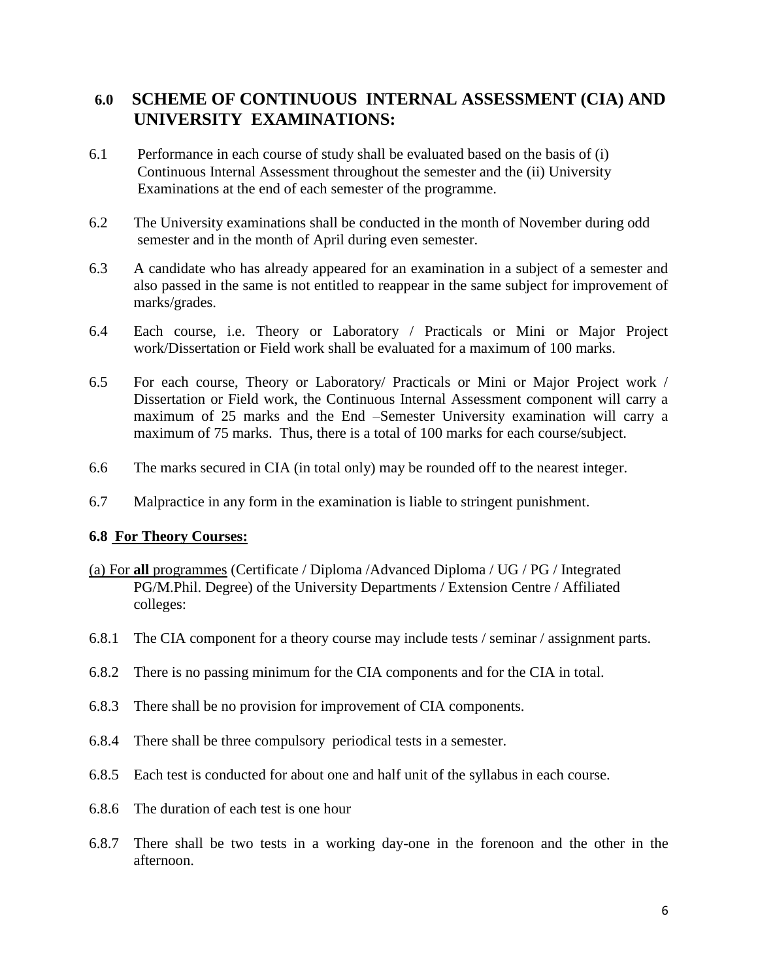# **6.0 SCHEME OF CONTINUOUS INTERNAL ASSESSMENT (CIA) AND UNIVERSITY EXAMINATIONS:**

- 6.1 Performance in each course of study shall be evaluated based on the basis of (i) Continuous Internal Assessment throughout the semester and the (ii) University Examinations at the end of each semester of the programme.
- 6.2 The University examinations shall be conducted in the month of November during odd semester and in the month of April during even semester.
- 6.3 A candidate who has already appeared for an examination in a subject of a semester and also passed in the same is not entitled to reappear in the same subject for improvement of marks/grades.
- 6.4 Each course, i.e. Theory or Laboratory / Practicals or Mini or Major Project work/Dissertation or Field work shall be evaluated for a maximum of 100 marks.
- 6.5 For each course, Theory or Laboratory/ Practicals or Mini or Major Project work / Dissertation or Field work, the Continuous Internal Assessment component will carry a maximum of 25 marks and the End –Semester University examination will carry a maximum of 75 marks. Thus, there is a total of 100 marks for each course/subject.
- 6.6 The marks secured in CIA (in total only) may be rounded off to the nearest integer.
- 6.7 Malpractice in any form in the examination is liable to stringent punishment.

# **6.8 For Theory Courses:**

- (a) For **all** programmes (Certificate / Diploma /Advanced Diploma / UG / PG / Integrated PG/M.Phil. Degree) of the University Departments / Extension Centre / Affiliated colleges:
- 6.8.1 The CIA component for a theory course may include tests / seminar / assignment parts.
- 6.8.2 There is no passing minimum for the CIA components and for the CIA in total.
- 6.8.3 There shall be no provision for improvement of CIA components.
- 6.8.4 There shall be three compulsory periodical tests in a semester.
- 6.8.5 Each test is conducted for about one and half unit of the syllabus in each course.
- 6.8.6 The duration of each test is one hour
- 6.8.7 There shall be two tests in a working day-one in the forenoon and the other in the afternoon.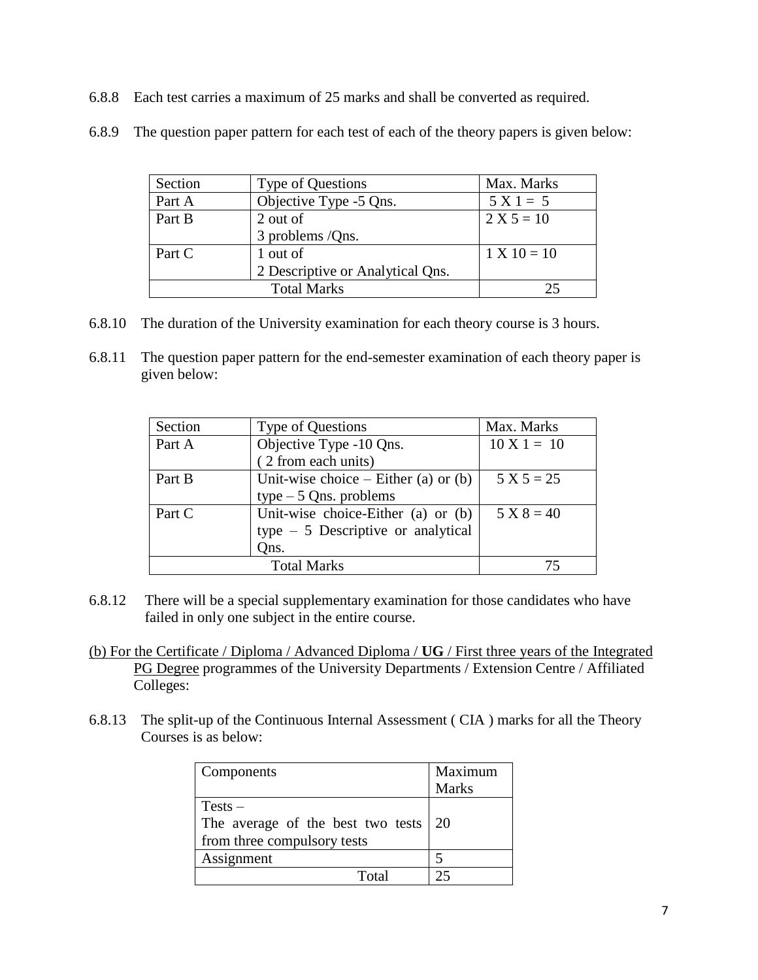6.8.8 Each test carries a maximum of 25 marks and shall be converted as required.

| Section | Type of Questions                | Max. Marks    |
|---------|----------------------------------|---------------|
| Part A  | Objective Type -5 Qns.           | $5 X 1 = 5$   |
| Part B  | 2 out of                         | $2 X 5 = 10$  |
|         | 3 problems /Qns.                 |               |
| Part C  | 1 out of                         | $1 X 10 = 10$ |
|         | 2 Descriptive or Analytical Qns. |               |
|         |                                  |               |

6.8.9 The question paper pattern for each test of each of the theory papers is given below:

- 6.8.10 The duration of the University examination for each theory course is 3 hours.
- 6.8.11 The question paper pattern for the end-semester examination of each theory paper is given below:

| Section | Type of Questions                      | Max. Marks             |
|---------|----------------------------------------|------------------------|
| Part A  | Objective Type -10 Qns.                | $10 \text{ X } 1 = 10$ |
|         | (2 from each units)                    |                        |
| Part B  | Unit-wise choice $-$ Either (a) or (b) | $5 X 5 = 25$           |
|         | type $-5$ Qns. problems                |                        |
| Part C  | Unit-wise choice-Either (a) or (b)     | $5 X 8 = 40$           |
|         | type $-5$ Descriptive or analytical    |                        |
|         | Qns.                                   |                        |
|         | <b>Total Marks</b>                     |                        |

- 6.8.12 There will be a special supplementary examination for those candidates who have failed in only one subject in the entire course.
- (b) For the Certificate / Diploma / Advanced Diploma / **UG** / First three years of the Integrated PG Degree programmes of the University Departments / Extension Centre / Affiliated Colleges:
- 6.8.13 The split-up of the Continuous Internal Assessment ( CIA ) marks for all the Theory Courses is as below:

| Components                                                                               | Maximum<br><b>Marks</b> |
|------------------------------------------------------------------------------------------|-------------------------|
| $Tests -$<br>The average of the best two tests $\vert$ 20<br>from three compulsory tests |                         |
| Assignment                                                                               |                         |
| Total                                                                                    | つく                      |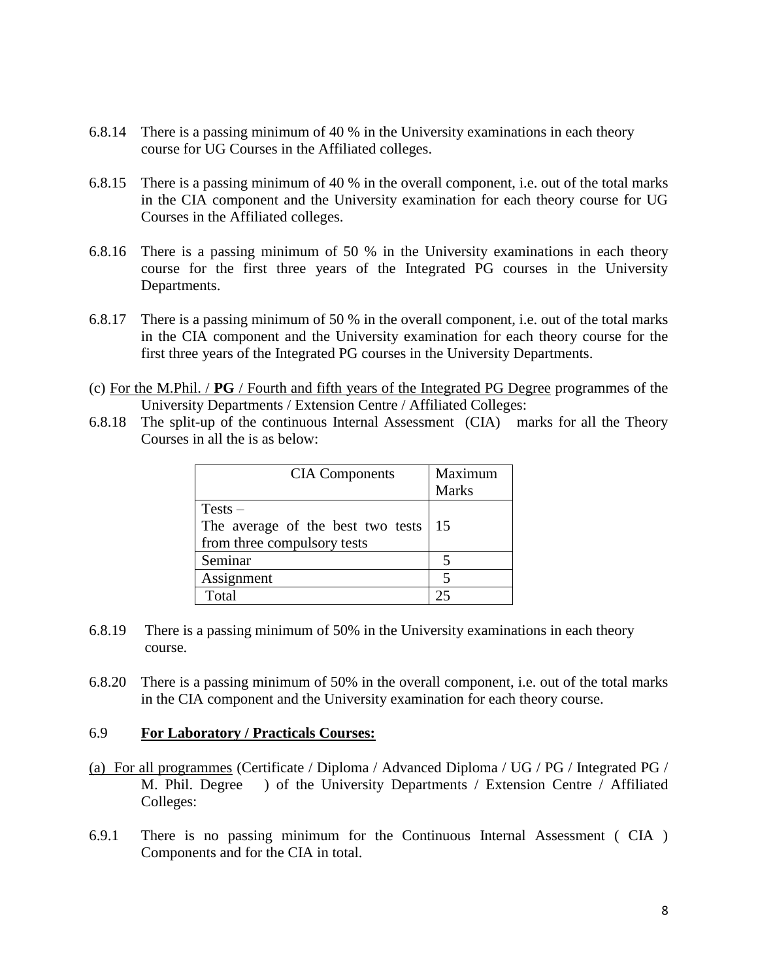- 6.8.14 There is a passing minimum of 40 % in the University examinations in each theory course for UG Courses in the Affiliated colleges.
- 6.8.15 There is a passing minimum of 40 % in the overall component, i.e. out of the total marks in the CIA component and the University examination for each theory course for UG Courses in the Affiliated colleges.
- 6.8.16 There is a passing minimum of 50 % in the University examinations in each theory course for the first three years of the Integrated PG courses in the University Departments.
- 6.8.17 There is a passing minimum of 50 % in the overall component, i.e. out of the total marks in the CIA component and the University examination for each theory course for the first three years of the Integrated PG courses in the University Departments.
- (c) For the M.Phil. / **PG** / Fourth and fifth years of the Integrated PG Degree programmes of the University Departments / Extension Centre / Affiliated Colleges:
- 6.8.18 The split-up of the continuous Internal Assessment (CIA) marks for all the Theory Courses in all the is as below:

| <b>CIA</b> Components                                                         | Maximum<br><b>Marks</b> |
|-------------------------------------------------------------------------------|-------------------------|
| $Tests -$<br>The average of the best two tests<br>from three compulsory tests | 15                      |
| Seminar                                                                       |                         |
| Assignment                                                                    |                         |
| Total                                                                         |                         |

- 6.8.19 There is a passing minimum of 50% in the University examinations in each theory course.
- 6.8.20 There is a passing minimum of 50% in the overall component, i.e. out of the total marks in the CIA component and the University examination for each theory course.

#### 6.9 **For Laboratory / Practicals Courses:**

- (a) For all programmes (Certificate / Diploma / Advanced Diploma / UG / PG / Integrated PG / M. Phil. Degree ) of the University Departments / Extension Centre / Affiliated Colleges:
- 6.9.1 There is no passing minimum for the Continuous Internal Assessment ( CIA ) Components and for the CIA in total.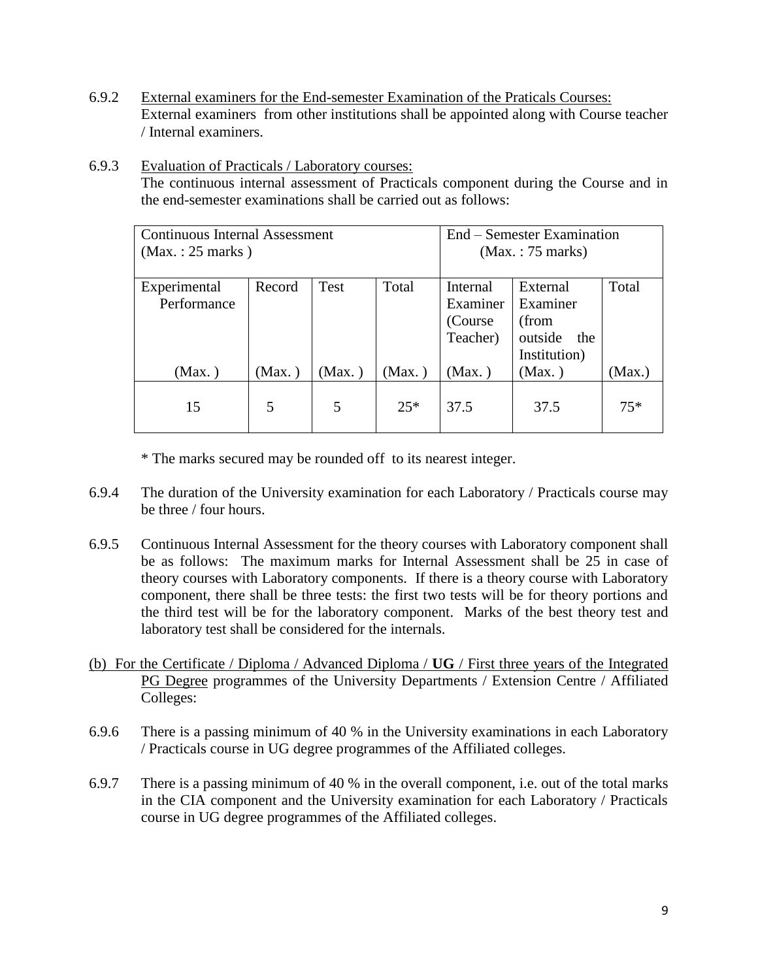- 6.9.2 External examiners for the End-semester Examination of the Praticals Courses: External examiners from other institutions shall be appointed along with Course teacher / Internal examiners.
- 6.9.3 Evaluation of Practicals / Laboratory courses: The continuous internal assessment of Practicals component during the Course and in the end-semester examinations shall be carried out as follows:

| <b>Continuous Internal Assessment</b><br>(Max.: 25 marks) | End – Semester Examination<br>(Max.: 75 marks) |        |          |          |                |        |
|-----------------------------------------------------------|------------------------------------------------|--------|----------|----------|----------------|--------|
| Experimental                                              | Record                                         | Test   | Total    | Internal | External       | Total  |
| Performance                                               |                                                |        |          | Examiner | Examiner       |        |
|                                                           |                                                |        |          | (Course) | (from          |        |
|                                                           |                                                |        |          | Teacher) | outside<br>the |        |
|                                                           |                                                |        |          |          | Institution)   |        |
| (Max.)                                                    | (Max.)                                         | (Max.) | $Max.$ ) | (Max.)   | $Max.$ )       | (Max.) |
| 15                                                        | 5                                              | 5      | $25*$    | 37.5     | 37.5           | $75*$  |

\* The marks secured may be rounded off to its nearest integer.

- 6.9.4 The duration of the University examination for each Laboratory / Practicals course may be three / four hours.
- 6.9.5 Continuous Internal Assessment for the theory courses with Laboratory component shall be as follows: The maximum marks for Internal Assessment shall be 25 in case of theory courses with Laboratory components. If there is a theory course with Laboratory component, there shall be three tests: the first two tests will be for theory portions and the third test will be for the laboratory component. Marks of the best theory test and laboratory test shall be considered for the internals.
- (b) For the Certificate / Diploma / Advanced Diploma / **UG** / First three years of the Integrated PG Degree programmes of the University Departments / Extension Centre / Affiliated Colleges:
- 6.9.6 There is a passing minimum of 40 % in the University examinations in each Laboratory / Practicals course in UG degree programmes of the Affiliated colleges.
- 6.9.7 There is a passing minimum of 40 % in the overall component, i.e. out of the total marks in the CIA component and the University examination for each Laboratory / Practicals course in UG degree programmes of the Affiliated colleges.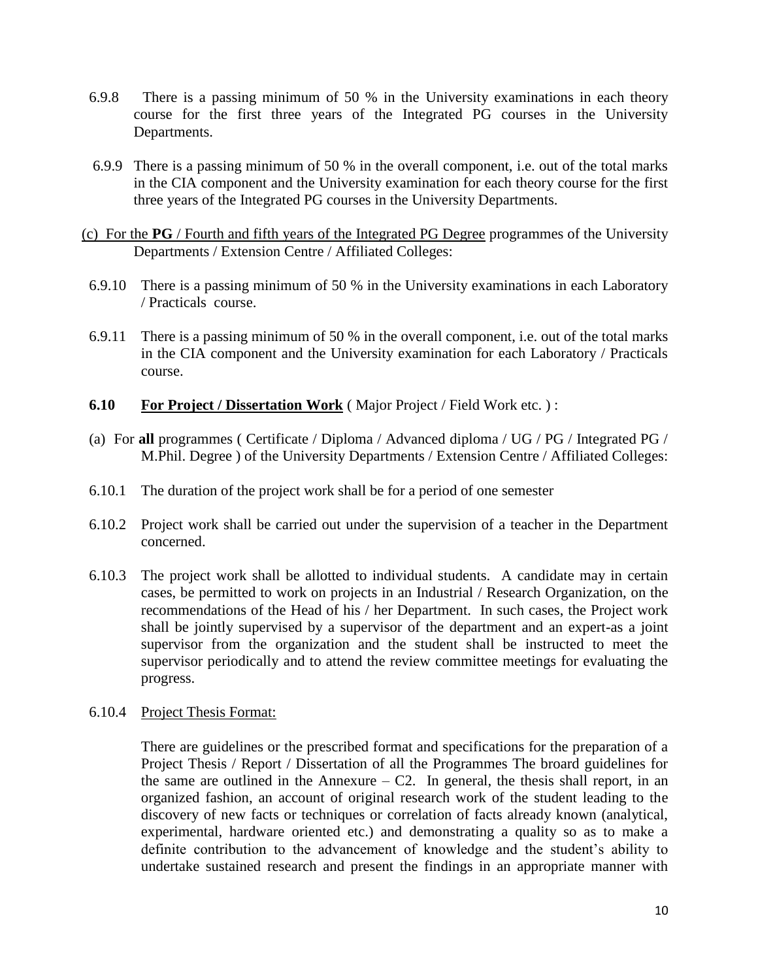- 6.9.8 There is a passing minimum of 50 % in the University examinations in each theory course for the first three years of the Integrated PG courses in the University Departments.
- 6.9.9 There is a passing minimum of 50 % in the overall component, i.e. out of the total marks in the CIA component and the University examination for each theory course for the first three years of the Integrated PG courses in the University Departments.
- (c) For the **PG** / Fourth and fifth years of the Integrated PG Degree programmes of the University Departments / Extension Centre / Affiliated Colleges:
- 6.9.10 There is a passing minimum of 50 % in the University examinations in each Laboratory / Practicals course.
- 6.9.11 There is a passing minimum of 50 % in the overall component, i.e. out of the total marks in the CIA component and the University examination for each Laboratory / Practicals course.
- **6.10 For Project / Dissertation Work** ( Major Project / Field Work etc. ) :
- (a) For **all** programmes ( Certificate / Diploma / Advanced diploma / UG / PG / Integrated PG / M.Phil. Degree ) of the University Departments / Extension Centre / Affiliated Colleges:
- 6.10.1 The duration of the project work shall be for a period of one semester
- 6.10.2 Project work shall be carried out under the supervision of a teacher in the Department concerned.
- 6.10.3 The project work shall be allotted to individual students. A candidate may in certain cases, be permitted to work on projects in an Industrial / Research Organization, on the recommendations of the Head of his / her Department. In such cases, the Project work shall be jointly supervised by a supervisor of the department and an expert-as a joint supervisor from the organization and the student shall be instructed to meet the supervisor periodically and to attend the review committee meetings for evaluating the progress.
- 6.10.4 Project Thesis Format:

There are guidelines or the prescribed format and specifications for the preparation of a Project Thesis / Report / Dissertation of all the Programmes The broard guidelines for the same are outlined in the Annexure  $-$  C2. In general, the thesis shall report, in an organized fashion, an account of original research work of the student leading to the discovery of new facts or techniques or correlation of facts already known (analytical, experimental, hardware oriented etc.) and demonstrating a quality so as to make a definite contribution to the advancement of knowledge and the student's ability to undertake sustained research and present the findings in an appropriate manner with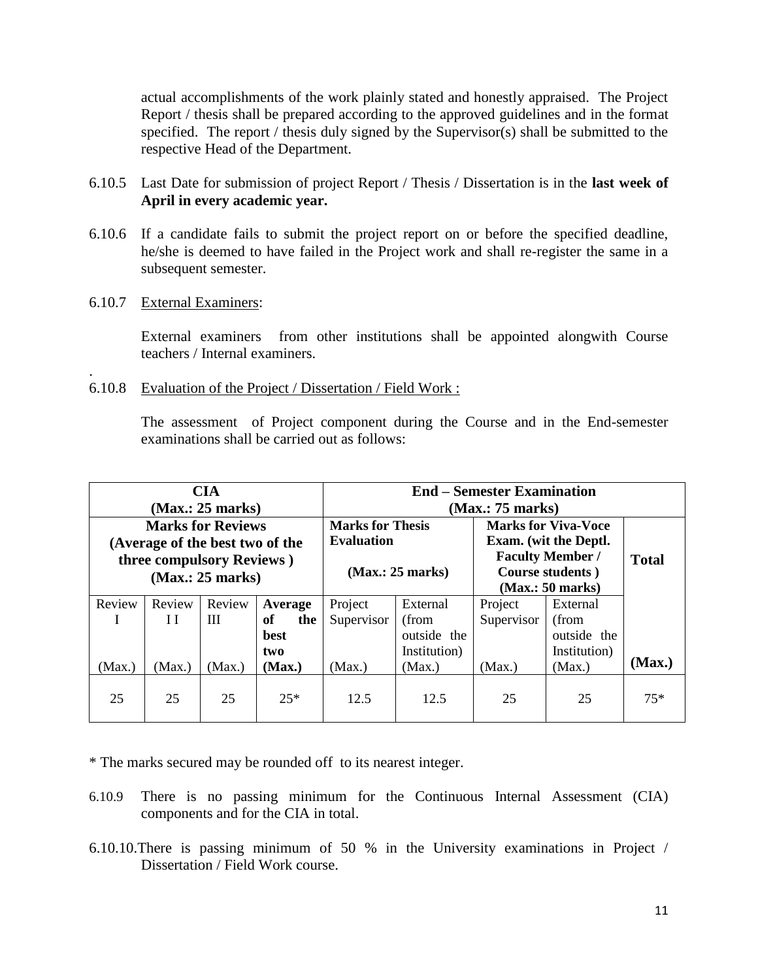actual accomplishments of the work plainly stated and honestly appraised. The Project Report / thesis shall be prepared according to the approved guidelines and in the format specified. The report / thesis duly signed by the Supervisor(s) shall be submitted to the respective Head of the Department.

- 6.10.5 Last Date for submission of project Report / Thesis / Dissertation is in the **last week of April in every academic year.**
- 6.10.6 If a candidate fails to submit the project report on or before the specified deadline, he/she is deemed to have failed in the Project work and shall re-register the same in a subsequent semester.
- 6.10.7 External Examiners:

.

External examiners from other institutions shall be appointed alongwith Course teachers / Internal examiners.

6.10.8 Evaluation of the Project / Dissertation / Field Work :

The assessment of Project component during the Course and in the End-semester examinations shall be carried out as follows:

| <b>CIA</b><br>(Max.: 25 marks)                                                           |        |        |                                              | <b>End – Semester Examination</b><br>(Max.: 75 marks) |                                                                                                    |            |              |        |
|------------------------------------------------------------------------------------------|--------|--------|----------------------------------------------|-------------------------------------------------------|----------------------------------------------------------------------------------------------------|------------|--------------|--------|
| <b>Marks for Reviews</b><br>(Average of the best two of the<br>three compulsory Reviews) |        |        | <b>Marks for Thesis</b><br><b>Evaluation</b> |                                                       | <b>Marks for Viva-Voce</b><br>Exam. (wit the Deptl.<br><b>Faculty Member /</b><br>Course students) |            | <b>Total</b> |        |
| (Max.: 25 marks)                                                                         |        |        | (Max.: 25 marks)                             |                                                       | (Max.: 50 marks)                                                                                   |            |              |        |
| Review                                                                                   | Review | Review | Average                                      | Project                                               | External                                                                                           | Project    | External     |        |
| I                                                                                        | H      | Ш      | of<br>the                                    | Supervisor                                            | (from                                                                                              | Supervisor | (from        |        |
|                                                                                          |        |        | <b>best</b>                                  |                                                       | outside the                                                                                        |            | outside the  |        |
|                                                                                          |        |        | two                                          |                                                       | Institution)                                                                                       |            | Institution) |        |
| (Max.)                                                                                   | (Max.) | (Max.) | (Max.)                                       | (Max.)<br>(Max.)                                      |                                                                                                    | (Max.)     | (Max.)       | (Max.) |
| 25                                                                                       | 25     | 25     | $25*$                                        | 12.5                                                  | 12.5                                                                                               | 25         | 25           | $75*$  |

\* The marks secured may be rounded off to its nearest integer.

- 6.10.9 There is no passing minimum for the Continuous Internal Assessment (CIA) components and for the CIA in total.
- 6.10.10.There is passing minimum of 50 % in the University examinations in Project / Dissertation / Field Work course.